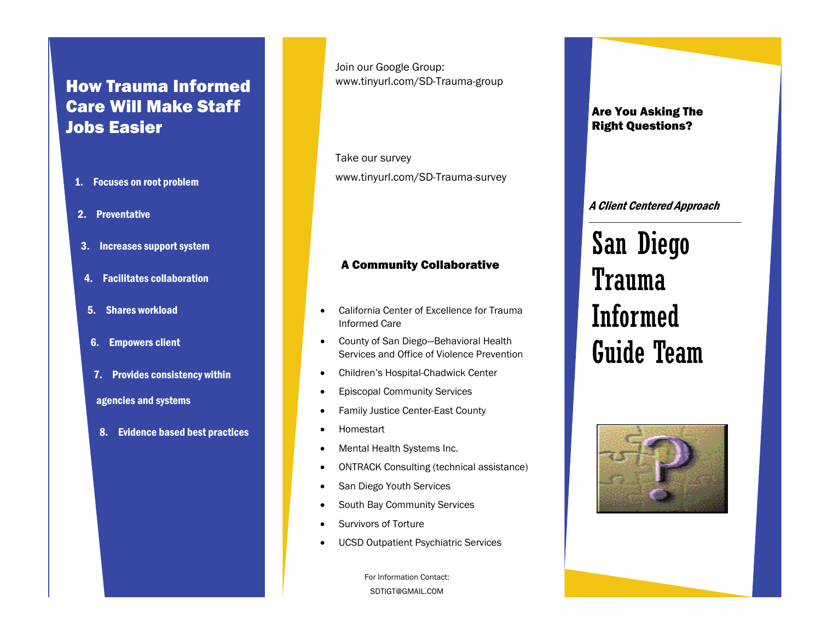## How Trauma Informed Care Will Make Staff Jobs Easier

- 1. Focuses on root problem
- 2. Preventative
- 3. Increases support system
- 4. Facilitates collaboration
- 5. Shares workload
- 6. Empowers client
- 7. Provides consistency within

#### agencies and systems

8. Evidence based best practices

Join our Google Group: www.tinyurl.com/SD-Trauma-group

Take our survey www.tinyurl.com/SD-Trauma-survey

#### A Community Collaborative

- $\bullet$  California Center of Excellence for Trauma Informed Care
- County of San Diego—Behavioral Health Services and Office of Violence Prevention
- $\bullet$ Children's Hospital-Chadwick Center
- $\bullet$ Episcopal Community Services
- $\bullet$ Family Justice Center-East County
- $\bullet$ Homestart
- $\bullet$ Mental Health Systems Inc.
- $\bullet$ ONTRACK Consulting (technical assistance)
- $\bullet$ San Diego Youth Services
- $\bullet$ South Bay Community Services
- $\bullet$ Survivors of Torture
- $\bullet$ UCSD Outpatient Psychiatric Services

For Information Contact: SDTIGT@GMAIL.COM

Are You Asking The Right Questions?

#### A Client Centered Approach

# San Diego Trauma Informed Guide Team